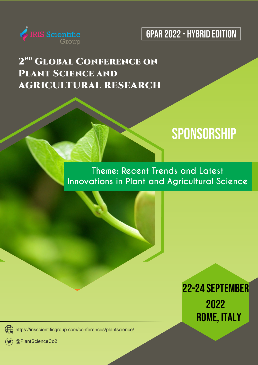



### **2<sup>ND</sup> GLOBAL CONFERENCE ON PLANT SCIENCE AND AGRICULTURAL RESEARCH**

## **SPONSORSHIP**

### **Theme: Recent Trends and Latest Innovations in Plant and Agricultural Science**

22-24 SEPTEMBER 2022 ROME, ITALY

( $\bigoplus$  https://irisscientificgroup.com/conferences/plantscience/

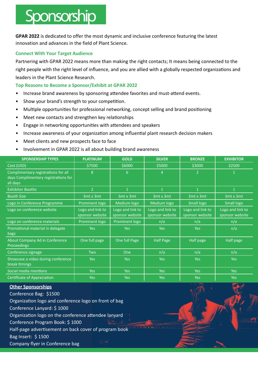## Sponsorship

**GPAR 2022** is dedicated to offer the most dynamic and inclusive conference featuring the latest innovation and advances in the field of Plant Science.

#### **Connect With Your Target Audience**

Partnering with GPAR 2022 means more than making the right contacts; It means being connected to the right people with the right level of influence, and you are allied with a globally respected organizations and leaders in the Plant Science Research.

#### **70p Reasons to Become a Sponsor/Exhibit at GPAR 2022**

- Increase brand awareness by sponsoring attendee favorites and must-attend events.
- Show your brand's strength to your competition.
- Multiple opportunities for professional networking, concept selling and brand positioning
- Meet new contacts and strengthen key relationships
- Engage in networking opportunities with attendees and speakers
- Increase awareness of your organization among influential plant research decision makers
- Meet clients and new prospects face to face
- Involvement in GPAR 2022 is all about building brand awareness

| <b>SPONSERSHIP TYPES</b>                                                                | <b>PLATINUM</b>                     | <b>GOLD</b>                         | <b>SILVER</b>                       | <b>BRONZE</b>                       | <b>EXHIBITOR</b>                    |
|-----------------------------------------------------------------------------------------|-------------------------------------|-------------------------------------|-------------------------------------|-------------------------------------|-------------------------------------|
| Cost (USD)                                                                              | \$7500                              | \$6000                              | \$5000                              | \$3000                              | \$2500                              |
| Complimentary registrations for all<br>days Complimentary registrations for<br>all days | 8                                   | 6                                   | 4                                   | 2                                   | $\mathbf{1}$                        |
| <b>Exhibitor Booths</b>                                                                 | $\overline{2}$                      | $\mathbf{1}$                        | $\overline{1}$                      | $\mathbf{1}$                        | $\mathbf{1}$                        |
| <b>Booth Size</b>                                                                       | 3mt x 3mt                           | 3mt x 3mt                           | 3mt x 3mt                           | 3mt x 3mt                           | 3mt x 3mt                           |
| Logo in Conference Programme                                                            | Prominent logo                      | Medium logo                         | Medium logo                         | Small logo                          | Small logo                          |
| Logo on conference website                                                              | Logo and link to<br>sponsor website | Logo and link to<br>sponsor website | Logo and link to<br>sponsor website | Logo and link to<br>sponsor website | Logo and link to<br>sponsor website |
| Logo on conference materials                                                            | Prominent logo                      | Prominent logo                      | n/a                                 | n/a                                 | n/a                                 |
| Promotional material in delegate<br>bags                                                | <b>Yes</b>                          | <b>Yes</b>                          | <b>Yes</b>                          | <b>Yes</b>                          | n/a                                 |
| About Company Ad in Conference<br><b>Proceedings</b>                                    | One full page                       | One full Page                       | <b>Half Page</b>                    | Half page                           | Half page                           |
| Conference signage                                                                      | <b>Two</b>                          | One                                 | n/a                                 | n/a                                 | n/a                                 |
| Showcase a video during conference<br>break timings                                     | <b>Yes</b>                          | Yes                                 | <b>Yes</b>                          | <b>Yes</b>                          | <b>Yes</b>                          |
| Social media mentions                                                                   | <b>Yes</b>                          | <b>Yes</b>                          | <b>Yes</b>                          | <b>Yes</b>                          | <b>Yes</b>                          |
| <b>Certificate of Appreciation</b>                                                      | Yes                                 | <b>Yes</b>                          | Yes                                 | <b>Yes</b>                          | <b>Yes</b>                          |

#### **Other Sponsorships**

Conference Bag: \$1500 Organization logo and conference logo on front of bag Conference Lanyard: \$1000 Organization logo on the conference attendee lanyard Conference Program Book: \$1000 Half-page advertisement on back cover of program book Bag Insert: \$1500 Company flyer in Conference bag